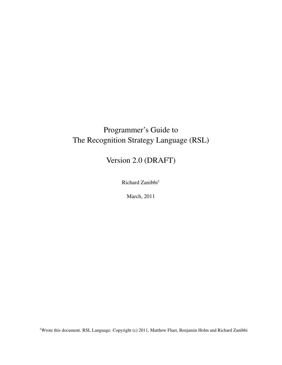## Programmer's Guide to The Recognition Strategy Language (RSL)

Version 2.0 (DRAFT)

Richard Zanibbi<sup>1</sup>

March, 2011

<sup>1</sup>Wrote this document. RSL Language: Copyright (c) 2011, Matthew Fluet, Benjamin Holm and Richard Zanibbi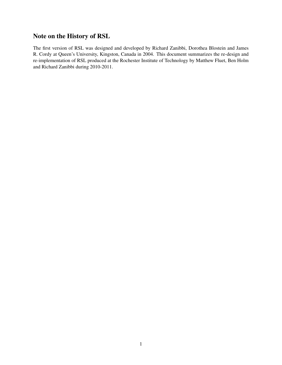## Note on the History of RSL

The first version of RSL was designed and developed by Richard Zanibbi, Dorothea Blostein and James R. Cordy at Queen's University, Kingston, Canada in 2004. This document summarizes the re-design and re-implementation of RSL produced at the Rochester Institute of Technology by Matthew Fluet, Ben Holm and Richard Zanibbi during 2010-2011.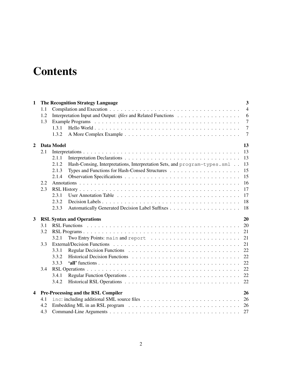# **Contents**

| 1                       |     | <b>The Recognition Strategy Language</b>                                           | 3              |
|-------------------------|-----|------------------------------------------------------------------------------------|----------------|
|                         | 1.1 |                                                                                    | $\overline{4}$ |
|                         | 1.2 |                                                                                    | 6              |
|                         | 1.3 |                                                                                    | $\overline{7}$ |
|                         |     | 1.3.1                                                                              | $\overline{7}$ |
|                         |     | 1.3.2                                                                              | $\overline{7}$ |
| $\overline{2}$          |     | Data Model                                                                         | 13             |
|                         | 2.1 |                                                                                    | 13             |
|                         |     | 2.1.1                                                                              | 13             |
|                         |     | Hash-Consing, Interpretations, Interpretation Sets, and program-types.sml<br>2.1.2 | 13             |
|                         |     | 2.1.3                                                                              | 15             |
|                         |     | 2.1.4                                                                              | 15             |
|                         | 2.2 |                                                                                    | 16             |
|                         | 2.3 |                                                                                    | 17             |
|                         |     | 2.3.1                                                                              | 17             |
|                         |     | 2.3.2                                                                              | 18             |
|                         |     | 2.3.3                                                                              | 18             |
| 3                       |     | <b>RSL Syntax and Operations</b>                                                   | 20             |
|                         | 3.1 |                                                                                    | 20             |
|                         | 3.2 |                                                                                    | 21             |
|                         |     | 3.2.1                                                                              | 21             |
|                         | 3.3 |                                                                                    | 21             |
|                         |     | 3.3.1                                                                              | 22             |
|                         |     | 3.3.2                                                                              | 22             |
|                         |     | 3.3.3                                                                              | 22             |
|                         | 3.4 |                                                                                    | 22             |
|                         |     | 3.4.1                                                                              |                |
|                         |     | 3.4.2                                                                              |                |
| $\overline{\mathbf{4}}$ |     | <b>Pre-Processing and the RSL Compiler</b>                                         | 26             |
|                         | 4.1 |                                                                                    | 26             |
|                         | 4.2 |                                                                                    |                |
|                         | 4.3 |                                                                                    | 27             |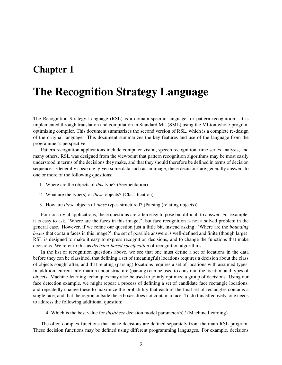## Chapter 1

# The Recognition Strategy Language

The Recognition Strategy Language (RSL) is a domain-specific language for pattern recognition. It is implemented through translation and compilation in Standard ML (SML) using the MLton whole-program optimizing compiler. This document summarizes the second version of RSL, which is a complete re-design of the original language. This document summarizes the key features and use of the language from the programmer's perspective.

Pattern recognition applications include computer vision, speech recognition, time series analysis, and many others. RSL was designed from the viewpoint that pattern recognition algorithms may be most easily understood in terms of the decisions they make, and that they should therefore be defined in terms of decision sequences. Generally speaking, given some data such as an image, these decisions are generally answers to one or more of the following questions:

- 1. Where are the objects of *this* type? (Segmentation)
- 2. What are the type(s) of *these* objects? (Classification)
- 3. How are *these* objects of *these* types structured? (Parsing (relating objects))

For non-trivial applications, these questions are often easy to pose but difficult to answer. For example, it is easy to ask, 'Where are the faces in this image?', but face recognition is not a solved problem in the general case. However, if we refine our question just a little bit, instead asking: 'Where are the *bounding boxes* that contain faces in this image?', the set of possible answers is well-defined and finite (though large). RSL is designed to make it easy to express recognition decisions, and to change the functions that make decisions. We refer to this as *decision-based specification* of recognition algorithms.

In the list of recognition questions above, we see that one must define a set of locations in the data before they can be classified, that defining a set of (meaningful) locations requires a decision about the class of objects sought after, and that relating (parsing) locations requires a set of locations with assumed types. In addition, current information about structure (parsing) can be used to constrain the location and types of objects. Machine-learning techniques may also be used to jointly optimize a group of decisions. Using our face detection example, we might repeat a process of defining a set of candidate face rectangle locations, and repeatedly change these to maximize the probability that each of the final set of rectangles contains a single face, and that the region outside these boxes does not contain a face. To do this effectively, one needs to address the following additional question:

4. Which is the best value for *this/these* decision model parameter(s)? (Machine Learning)

The often complex functions that make decisions are defined separately from the main RSL program. These decision functions may be defined using different programming languages. For example, decisions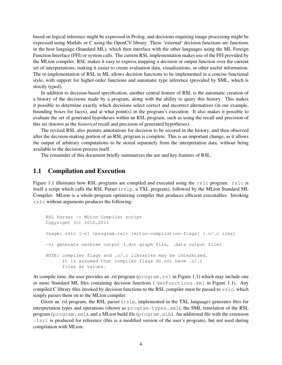based on logical inference might be expressed in Prolog, and decisions requiring image processing might be expressed using Matlab, or C using the OpenCV library. These 'external' decision functions are functions in the host language (Standard ML), which then interface with the other languages using the ML Foreign Function Interface (FFI) or system calls. The current RSL implementation makes use of the FFI provided by the MLton compiler. RSL makes it easy to express mapping a decision or output function over the current set of interpretations, making it easier to create evaluation data, visualizations, or other useful information. The re-implementation of RSL in ML allows decision functions to be implemented in a concise functional style, with support for higher-order functions and automatic type inference (provided by SML, which is strictly typed).

In addition to decision-based specification, another central feature of RSL is the automatic creation of a history of the decisions made by a program, along with the ability to query this history. This makes it possible to determine exactly which decisions select correct and incorrect alternatives (in our example, bounding boxes for faces), and at what point(s) in the program's execution. It also makes it possible to evaluate the set of generated hypotheses within an RSL program, such as using the recall and precision of this set (known as the *historical* recall and precision of generated hypotheses).

The revised RSL also permits annotations for decision to be recored in the history, and then observed after the decision-making portion of an RSL program is complete. This is an important change, as it allows the output of arbitrary computations to be stored separately from the interpretation data, without being available to the decision process itself.

The remainder of this document briefly summarizes the use and key features of RSL.

### 1.1 Compilation and Execution

Figure 1.1 illustrates how RSL programs are compiled and executed using the rslc program. rslc is itself a script which calls the RSL Parser (rslp, a TXL program), followed by the MLton Standard ML Compiler. MLton is a whole-program optimizing compiler that produces efficient executables. Invoking rslc without arguments produces the following:

```
RSL Parser -> MLton Compiler script
Copyright (c) 2010,2011
Usage: rslc [-v] <program.rsl> [mlton-compilation-flags] [.o/.c libs]
-v: generate verbose output (.dot graph file, .data output file)
NOTE: compiler flags and .o/.c libraries may be intermixed.
      It is assumed that compiler flags do not have .o/.c
      files as values.
```
At compile time, the user provides an .rsl program (program.rsl in Figure 1.1) which may include one or more Standard ML files containing decision functions ( decFunctions.sml in Figure 1.1). Any compiled C library files invoked by decision functions to the RSL compiler must be passed to  $rslc$ , which simply passes them on to the MLton compiler.

Given an .rsl program, the RSL parser (rslp, implemented in the TXL language) generates files for interpretation types and operations (shown as program-types.sml), the SML translation of the RSL program (program.sml), and a MLton build file (program.mlb). An additional file with the extension .lsrl is produced for reference (this is a modified version of the user's program), but not used during compilation with MLton.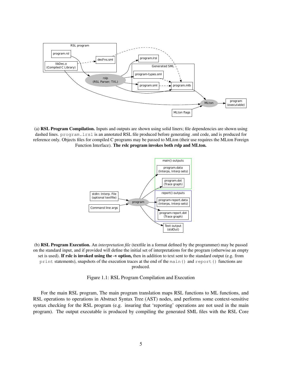

(a) RSL Program Compilation. Inputs and outputs are shown using solid liners; file dependencies are shown using dashed lines. program.lrsl is an annotated RSL file produced before generating .sml code, and is produced for reference only. Objects files for compiled C programs may be passed to MLton (their use requires the MLton Foreign Function Interface). The rslc program invokes both rslp and MLton.



(b) RSL Program Execution. An *interpretation file* (textfile in a format defined by the programmer) may be passed on the standard input, and if provided will define the initial set of interpretations for the program (otherwise an empty set is used). If rslc is invoked using the -v option, then in addition to text sent to the standard output (e.g. from print statements), snapshots of the execution traces at the end of the main() and report() functions are produced.

Figure 1.1: RSL Program Compilation and Execution

For the main RSL program, The main program translation maps RSL functions to ML functions, and RSL operations to operations in Abstract Syntax Tree (AST) nodes, and performs some context-sensitive syntax checking for the RSL program (e.g. insuring that 'reporting' operations are not used in the main program). The output executable is produced by compiling the generated SML files with the RSL Core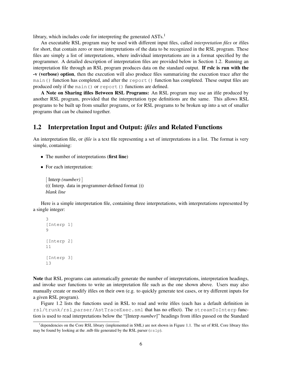library, which includes code for interpreting the generated  $ASTs<sup>1</sup>$ 

An executable RSL program may be used with different input files, called *interpretation files* or *i*files for short, that contain zero or more interpretations of the data to be recognized in the RSL program. These files are simply a list of interpretations, where individual interpretations are in a format specified by the programmer. A detailed description of interpretation files are provided below in Section 1.2. Running an interpretation file through an RSL program produces data on the standard output. If rslc is run with the -v (verbose) option, then the execution will also produce files summarizing the execution trace after the main() function has completed, and after the report() function has completed. These output files are produced only if the main() or report() functions are defined.

A Note on Sharing ifiles Between RSL Programs: An RSL program may use an ifile produced by another RSL program, provided that the interpretation type definitions are the same. This allows RSL programs to be built up from smaller programs, or for RSL programs to be broken up into a set of smaller programs that can be chained together.

### 1.2 Interpretation Input and Output: *ifiles* and Related Functions

An interpretation file, or *ifile* is a text file representing a set of interpretations in a list. The format is very simple, containing:

- The number of interpretations (first line)
- *•* For each interpretation:

[ Interp *(number)* ] ((( Interp. data in programmer-defined format ))) *blank line*

Here is a simple interpretation file, containing three interpretations, with interpretations represented by a single integer:

```
3
[Interp 1]
\circ[Interp 2]
11
[Interp 3]
13
```
Note that RSL programs can automatically generate the number of interpretations, interpretation headings, and invoke user functions to write an interpretation file such as the one shown above. Users may also manually create or modify ifiles on their own (e.g. to quickly generate test cases, or try different inputs for a given RSL program).

Figure 1.2 lists the functions used in RSL to read and write ifiles (each has a default definition in rsl/trunk/rsl parser/AstTraceExec.sml that has no effect). The streamToInterp function is used to read interpretations below the "[Interp *number*]" headings from ifiles passed on the Standard

<sup>&</sup>lt;sup>1</sup>dependencies on the Core RSL library (implemented in SML) are not shown in Figure 1.1. The set of RSL Core library files may be found by looking at the *.mlb* file generated by the RSL parser  $(rslp)$ .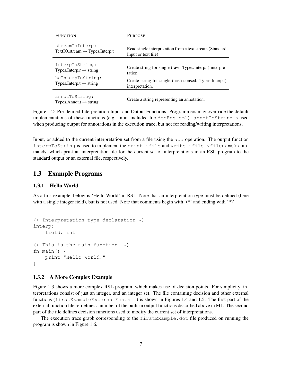| <b>FUNCTION</b>                                      | <b>PURPOSE</b>                                           |
|------------------------------------------------------|----------------------------------------------------------|
| streamToInterp:                                      | Read single interpretation from a text stream (Standard  |
| $TextIO. stream \rightarrow Types. Interp.t$         | Input or text file)                                      |
| interpToString:                                      | Create string for single (raw: Types.Interp.r) interpre- |
| Types.Interp. $r \rightarrow$ string                 | tation.                                                  |
| hcInterpToString:                                    | Create string for single (hash-consed: Types.Interp.t)   |
| Types.Interp.t $\rightarrow$ string                  | interpretation.                                          |
| annotToString:<br>Types.Annot.t $\rightarrow$ string | Create a string representing an annotation.              |

Figure 1.2: Pre-defined Interpretation Input and Output Functions. Programmers may over-ride the default implementations of these functions (e.g. in an included file decFns.sml). annotToString is used when producing output for annotations in the execution trace, but not for reading/writing interpretations.

Input, or added to the current interpretation set from a file using the add operation. The output function interpToString is used to implement the print ifile and write ifile <filename> commands, which print an interpretation file for the current set of interpretations in an RSL program to the standard output or an external file, respectively.

#### 1.3 Example Programs

#### 1.3.1 Hello World

As a first example, below is 'Hello World' in RSL. Note that an interpretation type must be defined (here with a single integer field), but is not used. Note that comments begin with '(\*' and ending with '\*)'.

```
(* Interpretation type declaration *)
interp:
    field: int
(* This is the main function. *)fn main() {
   print "Hello World."
}
```
#### 1.3.2 A More Complex Example

Figure 1.3 shows a more complex RSL program, which makes use of decision points. For simplicity, interpretations consist of just an integer, and an integer set. The file containing decision and other external functions (firstExampleExternalFns.sml) is shown in Figures 1.4 and 1.5. The first part of the external function file re-defines a number of the built-in output functions described above in ML. The second part of the file defines decision functions used to modify the current set of interpretations.

The execution trace graph corresponding to the firstExample.dot file produced on running the program is shown in Figure 1.6.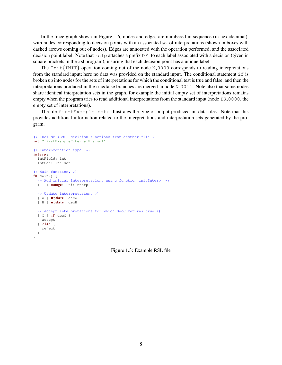In the trace graph shown in Figure 1.6, nodes and edges are numbered in sequence (in hexadecimal), with nodes corresponding to decision points with an associated set of interpretations (shown in boxes with dashed arrows coming out of nodes). Edges are annotated with the operation performed, and the associated decision point label. Note that  $rslp$  attaches a prefix  $D#_$  to each label associated with a decision (given in square brackets in the .rsl program), insuring that each decision point has a unique label.

The  $Init{INIT}$  operation coming out of the node  $N_0000$  corresponds to reading interpretations from the standard input; here no data was provided on the standard input. The conditional statement  $\pm$  f is broken up into nodes for the sets of interpretations for which the conditional test is true and false, and then the interpretations produced in the true/false branches are merged in node  $N_0$  0011. Note also that some nodes share identical interpretation sets in the graph, for example the initial empty set of interpretations remains empty when the program tries to read additional interpretations from the standard input (node  $15-0000$ , the empty set of interpretations).

The file firstExample.data illustrates the type of output produced in .data files. Note that this provides additional information related to the interpretations and interpretation sets generated by the program.

```
(* Include (SML) decision functions from another file *)
inc "firstExampleExternalFns.sml"
(* Interpretation type. *)
interp:
 IntField: int
 IntSet: int set
(* Main function. *)
fn main() {
 (* Add initial interpretationt using function initInterp. *)
  [I] munge: initInterp
  (* Update interpretations *)
  [ A ] update: decA
  [ B ] update: decB
  (* Accept interpretations for which decC returns true *)
  [C] if decC {
   accept
  } else {
   reject
 }
}
```
Figure 1.3: Example RSL file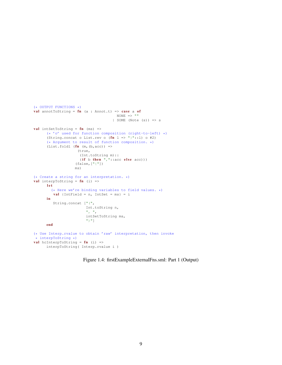```
(* OUTPUT FUNCTIONS *)
val annotToString = fn (a : Annot.t) => case a of
                                        NONE => "| SOME (Note (s)) => s
val intSetToString = fn (ms) =>
      (* 'o' used for function composition (right-to-left) *)
      (String.concat o List.rev o (\text{fn } l \Rightarrow "]''::l) o #2)
      (* Argument to result of function composition. *)
      (List.fold (fn (m, (b, acc)) =(true,
                      (Int.toString m)::
                      (if b then ","::acc else acc)))(false,["{"])
                    ms)
(* Create a string for an interpretation. *)
val interpToString = fn (i) =>
      let
        (* Here we're binding variables to field values. *)
         val {IntField = n, IntSet = ms} = i
      i n
         String.concat ["(",
                         Int.toString n,
                         ", ",
                         intSetToString ms,
                         \mathbb{F}<sup>u</sup>) \mathbb{F}]
      end
(* Use Interp.rvalue to obtain 'raw' interpretation, then invoke
* interpToString *)
val hcInterpToString = fn (i) =>
      interpToString( Interp.rvalue i )
```
Figure 1.4: firstExampleExternalFns.sml: Part 1 (Output)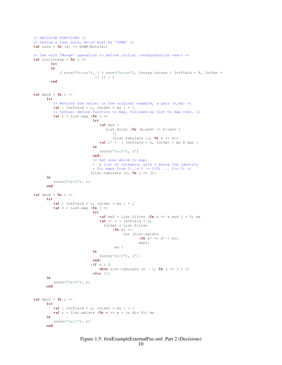```
(* DECISION FUNCTIONS *)
(* Define a text note, which must be 'SOME' *)
val note = \mathbf{fn} (s) => SOME(Note(s))
(* Use with 'Munge' operation to define initial interpretation *set* *)
val initInterp = fn i =>
        let
        i n
             ( note("Munge"), [ ( note("Munge"), Interp.rhcons { IntField = 8, IntSet =
                              [1] ) ] )end
val decA = fn i =>
      let
          (* Returns the value: in the original example, a pair (n, ms) *)
         val { IntField = n, IntSet = ms } = i
          (* Syntax: define function to map, followed by list to map over. *)
          val r = Listmap (fn j \Rightarrowlet
                                 val msU =
                                    List.foldl (\text{fn} (\text{k}, \text{msU}) \Rightarrow \text{k} : \text{msU})[]
                                        (List.tabulate (j, fn k => k))
                                 val i' = \{ IntField = n, IntSet = ms @ msU \}i n
                                 (\text{note}("decA"), i')end)
                             (* Set over which to map:
                             * a list of integers, with j being the identity
                             * fn; maps from 0...n-1 \rightarrow f(0) ... f(n-1) *)
                            (List.tabulate (n, fn j \Rightarrow j))
      in
         (note("decA"), r)
      end
val decB = fn i =>
      let
         val { IntField = n, IntSet = ms } = i
          val r = Listmap (fn j =>
                             let
                                 val msD = List.filter (fn k \Rightarrow k \mod j = 0) ms
                                 val i' = { IntField = n,
                                   IntSet = List.filter
                                       (fn el =>
                                            not (List.exists
                                                    (fn e' => e' = e1)
                                                    msD))
                                        ms<sub>1</sub>i n
                                (note("decB"), i')
                             end)
                             (i f n > 0)then List.tabulate (n - 1, fn j => j + 1)else [])
      i n
          (note("decB"), r)
      end
val decC = fn i =>
      let
         val { IntField = n, IntSet = ms } = i
          val r = List.exists (fn e => e = (n div 2)) ms
      in.
         (note("decC"), r)
      end
```
## Figure 1.5: firstExampleExternalFns.sml: Part 2 (Decisions)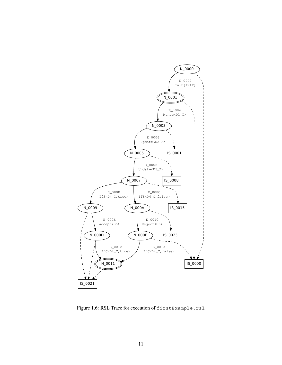

Figure 1.6: RSL Trace for execution of firstExample.rsl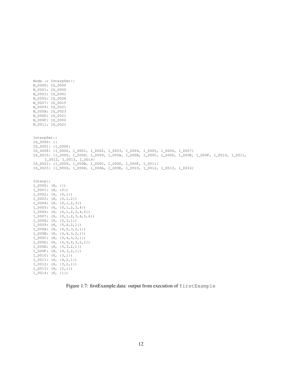Node  $\rightarrow$  InterpSet:: N\_0000: IS\_0000 N\_0001: IS\_0000 N\_0003: IS\_0001 N\_0005: IS\_0008 N\_0007: IS\_0015 N\_0009: IS\_0021 N\_000A: IS\_0023 N\_000D: IS\_0021 N\_000F: IS\_0000 N\_0011: IS\_0021 InterpSet:: IS\_0000: {} IS\_0001: {I\_0000} IS\_0008: {I\_0000, I\_0001, I\_0002, I\_0003, I\_0004, I\_0005, I\_0006, I\_0007} IS\_0015: {I\_0000, I\_0008, I\_0009, I\_000A, I\_000B, I\_000C, I\_000D, I\_000E, I\_000F, I\_0010, I\_0011, I\_0012, I\_0013, I\_0014} IS\_0021: {I\_0009, I\_000B, I\_000C, I\_000D, I\_000F, I\_0011} IS\_0023: {I\_0000, I\_0008, I\_000A, I\_000E, I\_0010, I\_0012, I\_0013, I\_0014} Interp::  $I_0000$ :  $(8, {}$  {}) I\_0001: (8, {0}) I\_0002: (8, {0,1}) I\_0003: (8, {0,1,2}) I\_0004: (8, {0,1,2,3}) I\_0005: (8, {0,1,2,3,4}) I\_0006: (8, {0,1,2,3,4,5}) I\_0007: (8, {0,1,2,3,4,5,6}) I\_0008: (8, {5,3,1}) I\_0009: (8, {5,4,2,1}) I\_000A: (8, {6,5,3,2,1}) I\_000B: (8, {6,4,3,2,1}) I\_000C: (8, {5,4,3,2,1})  $I$  000D: (8, {6,5,4,3,2,1}) I\_000E: (8, {5,3,2,1}) I\_000F: (8, {4,3,2,1}) I\_0010: (8, {3,1}) I\_0011: (8, {4,2,1})  $I_0012: (8, {3, 2, 1})$ I\_0013: (8, {2,1}) I\_0014: (8, {1})

Figure 1.7: firstExample.data: output from execution of firstExample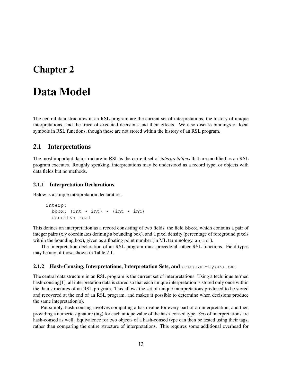## Chapter 2

## Data Model

The central data structures in an RSL program are the current set of interpretations, the history of unique interpretations, and the trace of executed decisions and their effects. We also discuss bindings of local symbols in RSL functions, though these are not stored within the history of an RSL program.

### 2.1 Interpretations

The most important data structure in RSL is the current set of *interpretations* that are modified as an RSL program executes. Roughly speaking, interpretations may be understood as a record type, or objects with data fields but no methods.

#### 2.1.1 Interpretation Declarations

Below is a simple interpretation declaration.

```
interp:
 bbox: (int * int) * (int * int)
  density: real
```
This defines an interpretation as a record consisting of two fields, the field bbox, which contains a pair of integer pairs (x,y coordinates defining a bounding box), and a pixel density (percentage of foreground pixels within the bounding box), given as a floating point number (in ML terminology, a real).

The interpretation declaration of an RSL program must precede all other RSL functions. Field types may be any of those shown in Table 2.1.

#### 2.1.2 Hash-Consing, Interpretations, Interpretation Sets, and  $\text{program-type}$ s.sml

The central data structure in an RSL program is the current set of interpretations. Using a technique termed hash-consing[1], all interpretation data is stored so that each unique interpretation is stored only once within the data structures of an RSL program. This allows the set of unique interpretations produced to be stored and recovered at the end of an RSL program, and makes it possible to determine when decisions produce the same intepretation(s).

Put simply, hash-consing involves computing a hash value for every part of an interpretation, and then providing a numeric signature (tag) for each unique value of the hash-consed type. *Sets* of interpretations are hash-consed as well. Equivalence for two objects of a hash-consed type can then be tested using their tags, rather than comparing the entire structure of interpretations. This requires some additional overhead for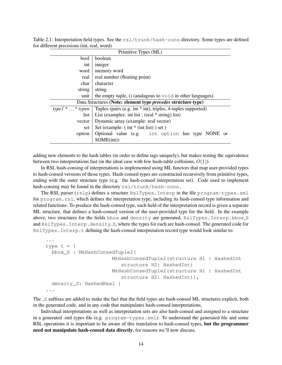Table 2.1: Interpretation field types. See the  $rs1/trunk/hash-cons$  directory. Some types are defined for different precisions (int, real, word)

| Primitive Types (ML)                                                                                        |            |                                                  |
|-------------------------------------------------------------------------------------------------------------|------------|--------------------------------------------------|
| boolean<br>bool                                                                                             |            |                                                  |
| int                                                                                                         | integer    |                                                  |
| memory word<br>word                                                                                         |            |                                                  |
| real number (floating point)<br>real                                                                        |            |                                                  |
| character<br>char                                                                                           |            |                                                  |
| string<br>string                                                                                            |            |                                                  |
| the empty tuple, $()$ (analagous to $void$ in other languages)<br>unit                                      |            |                                                  |
| Data Structures (Note: element type <i>precedes</i> structure type)                                         |            |                                                  |
| type $1^**$ typen<br>Tuples (pairs (e.g. int $*$ int), triples, 4-tuples supported)                         |            |                                                  |
| List (examples: int list; (real $*$ string) list)<br>list<br>Dynamic array (example: real vector)<br>vector |            |                                                  |
|                                                                                                             |            | Set (example: $(int * (int list) ) set )$<br>set |
| Optional value (e.g. int option has type NONE or<br>option                                                  |            |                                                  |
|                                                                                                             | SOME(int)) |                                                  |

adding new elements to the hash tables (in order to define tags uniquely), but makes testing the equivalence between two interpretations fast (in the ideal case with few hash-table collisions, *O*(1)).

In RSL hash-consing of interpretations is implemented using ML functors that map user-provided types to hash-consed versions of those types. Hash-consed types are constructed recursively from primitive types, ending with the outer structure type (e.g. the hash-consed interpretation set). Code used to implement hash-consing may be found in the directory  $rsl/trunk/hash-cons$ .

The RSL parser (rslp) defines a structure RslTypes. Interp in the file program-types. sml for program.rsl, which defines the interpretation type, including its hash-consed type information and related functions. To produce the hash-consed type, each field of the interpretation record is given a separate ML structure, that defines a hash-consed version of the user-provided type for the field. In the example above, two structures for the fields bbox and density are generated, RslTypes. Interp.bbox\_S and RslTypes. Interp.density S, where the types for each are hash-consed. The generated code for RslTypes.Interp.t defining the hash-consed interpretation record type would look similar to:

```
...
type t = \{bbox_S : MkHashConsedTuple2(
                      MkHashConsedTuple2(structure H1 : HashedInt
                         structure H2: HashedInt)
                      MkHashConsedTuple2(structure H1 : HashedInt
                          structure H2: HashedInt)),
  density_S: HashedReal }
...
```
The \_S suffixes are added to make the fact that the field types are hash-consed ML structures explicit, both in the generated code, and in any code that manipulates hash-consed interpretations.

Individual interpretations as well as interpretation sets are also hash-consed and assigned to a structure in a generated .sml types file (e.g. program-types.sml). To understand the generated file and some RSL operations it is important to be aware of this translation to hash-consed types, but the programmer need not manipulate hash-consed data directly, for reasons we'll now discuss.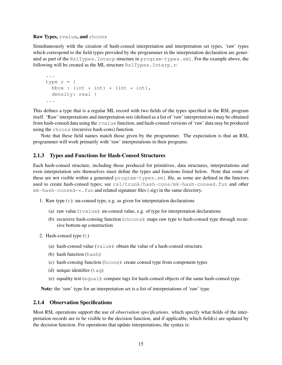#### Raw Types, rvalue, and rhcons

Simultaneously with the creation of hash-consed interpretation and interpretation set types, 'raw' types which correspond to the field types provided by the programmer in the interpretation declaration are generated as part of the RslTypes.Interp structure in program-types.sml. For the example above, the following will be created as the ML structure RslTypes.Interp.r:

```
...
type r = \{bbox : (int * int) * (int * int),
  density: real }
...
```
This defines a type that is a regular ML record with two fields of the types specified in the RSL program itself. 'Raw' interpretations and interpretation sets (defined as a list of 'raw' interpretations) may be obtained from hash-consed data using the rvalue function, and hash-consed versions of 'raw' data may be produced using the rhcons (recursive hash-cons) function.

Note that these field names match those given by the programmer. The expectation is that an RSL programmer will work primarily with 'raw' interpretations in their programs.

#### 2.1.3 Types and Functions for Hash-Consed Structures

Each hash-consed structure, including those produced for primitives, data structures, interpretations and even interpretation sets themselves must define the types and functions listed below. Note that some of these are not visible within a generated program-types.sml file, as some are defined in the functors used to create hash-consed types; see rsl/trunk/hash-cons/mk-hash-consed.fun and other  $mk-hash-consed-*$ . fun and related signature files (.sig) in the same directory.

- 1. Raw type  $(r)$ : un-consed type, e.g. as given for interpretation declarations
	- (a) raw value ( $r$ value): un-consed value, e.g. of type for interpretation declarations
	- (b) recursive hash-consing function (rhcons): maps raw type to hash-consed type through recursive bottom-up construction
- 2. Hash-consed type  $(t)$ 
	- (a) hash-consed value (value): obtain the value of a hash-consed structure.
	- (b) hash function (hash)
	- (c) hash-consing function (hcons): create consed type from component types
	- (d) unique identifier  $(taq)$
	- (e) equality test (equal): compare tags for hash-consed objects of the same hash-consed type.

Note: the 'raw' type for an interpretation set is a list of interpretations of 'raw' type.

#### 2.1.4 Observation Specifications

Most RSL operations support the use of *observation specifications*. which specify what fields of the interpretation records are to be visible to the decision function, and if applicable, which field(s) are updated by the decision function. For operations that update interpretations, the syntax is: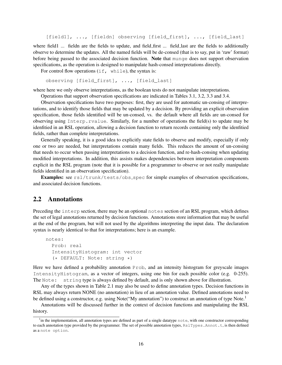[field1], ..., [fieldn] observing [field\_first], ..., [field\_last]

where field1 ... fieldn are the fields to update, and field\_first ... field\_last are the fields to additionally observe to determine the updates. All the named fields will be de-consed (that is to say, put in 'raw' format) before being passed to the associated decision function. Note that munge does not support observation specifications, as the operation is designed to manipulate hash-consed interpretations directly.

For control flow operations  $(i.f, which$  while), the syntax is:

```
observing [field_first], ..., [field_last]
```
where here we only observe interpretations, as the boolean tests do not manipulate interpretations.

Operations that support observation specifications are indicated in Tables 3.1, 3.2, 3.3 and 3.4.

Observation specifications have two purposes: first, they are used for automatic un-consing of interpretations, and to identify those fields that may be updated by a decision. By providing an explicit observation specification, those fields identified will be un-consed, vs. the default where all fields are un-consed for observing using Interp.rvalue. Similarly, for a number of operations the field(s) to update may be idenfitied in an RSL operation, allowing a decision function to return records containing only the idenfitied fields, rather than complete interpretations.

Generally speaking, it is a good idea to explicitly state fields to observe and modify, especially if only one or two are needed, but interpretations contain many fields. This reduces the amount of un-consing that needs to occur when passing interpretations to a decision function, and re-hash-consing when updating modified interpretations. In addition, this assists makes dependencies between interpretation components explicit in the RSL program (note that it is possible for a programmer to observe or not really manipulate fields identified in an observation specification).

Examples: see rsl/trunk/tests/obs\_spec for simple examples of observation specifications, and associated decision functions.

#### 2.2 Annotations

Preceding the interp section, there may be an optional notes section of an RSL program, which defines the set of legal annotations returned by decision functions. Annotations store information that may be useful at the end of the program, but will not used by the algorithms interpreting the input data. The declaration syntax is nearly identical to that for interpretations; here is an example.

```
notes:
  Prob: real
  IntensityHistogram: int vector
  (* DEFAULT: Note: string *)
```
Here we have defined a probability annotation Prob, and an intensity histogram for greyscale images IntensityHistogram, as a vector of integers, using one bin for each possible color (e.g. 0-255). The Note: string type is always defined by default, and is only shown above for illustration.

Any of the types shown in Table 2.1 may also be used to define annotation types. Decision functions in RSL may always return NONE (no annotation) in lieu of an annotation value. Defined annotations need to be defined using a constructor, e.g. using Note("My annotation") to construct an annotation of type Note.<sup>1</sup>

Annotations will be discussed further in the context of decision functions and manipulating the RSL history.

<sup>&</sup>lt;sup>1</sup> in the implementation, all annotation types are defined as part of a single datatype note, with one constructor corresponding to each annotation type provided by the programmer. The set of possible annotation types, RslTypes.Annot.t, is then defined as a note option.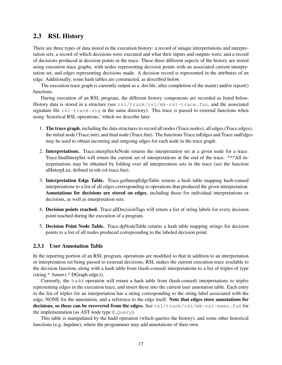### 2.3 RSL History

There are three types of data stored in the execution history: a record of unique interpretations and interpretation sets, a record of which decisions were executed and what their inputs and outputs were, and a record of decisions produced at decision points in the trace. These three different aspects of the history are stored using execution trace graphs, with nodes representing decision points with an associated current interpretation set, and edges representing decisions made. A decision record is represented in the attributes of an edge. Additionally, some hash tables are constructed, as described below.

The execution trace graph is currently output as a .dot file, after completion of the main() and/or report() functions.

During execution of an RSL program, the different history components are recorded as listed below. History data is stored in a structure (see rsl/trunk/rsl/mk-rsl-trace.fun, and the associated signature file  $rsl$ -trace.sig in the same directory). This trace is passed to external functions when using 'historical RSL operations,' which we describe later.

- 1. The trace graph, including the data structures to record all nodes (Trace.nodes), all edges (Trace.edges), the initial node (Trace.init), and final node (Trace.fini). The functions Trace.inEdges and Trace.outEdges may be used to obtain incoming and outgoing edges for each node in the trace graph.
- 2. Interpretations. Trace.interpSetAtNode returns the interpretation set at a given node for a trace. Trace.finalInterpSet will return the current set of interpretations at the end of the trace. \*\*\*All interpretations may be obtained by folding over all interpretation sets in the trace (see the function allInterpList, defined in mk-rsl-trace.fun).
- 3. Interpretation Edge Table. Trace.getInterpEdgeTable returns a hash table mapping hash-consed interpretations to a list of all edges corresponding to operations that produced the given interpretation. Annotations for decisions are stored on edges, including those for individual interpretations or decisions, as well as interpretation sets.
- 4. Decision points reached. Trace.allDecisionTags will return a list of string labels for every decision point reached during the execution of a program.
- 5. Decision Point Node Table. Trace.dpNodeTable returns a hash table mapping strings for decision points to a list of all nodes produced correpsonding to the labeled decision point.

#### 2.3.1 User Annotation Table

In the reporting portion of an RSL program, operations are modified so that in addition to an interpretation or interpretation set being passed to external decisions, RSL makes the current execution trace available to the decision function, along with a hash table from (hash-consed) interpretations to a list of triples of type (string \* Annot.t \* DGraph.edge.t).

Currently, the hadd operation will return a hash table from (hash-consed) interpretations to triples representing edges in the execution trace, and insert these into the current user annotation table. Each entry in the list of triples for an interpretation has a string corresponding to the string label associated with the edge, NONE for the annotation, and a reference to the edge itself. Note that edges store annotations for decisions, so these can be recovered from the edges. See rsl/trunk/rsl/mk-rsl-exec.fun for the implementation (as AST node type  $E_Q \cup E_Y$ ).

This table is manipulated by the hadd operation (which queries the history), and some other historical functions (e.g. hupdate), where the programmer may add annotations of their own.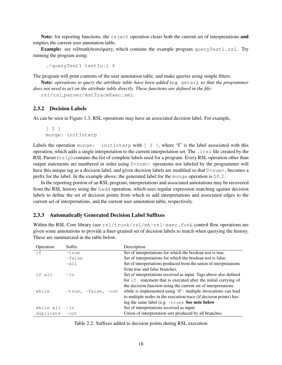Note: for reporting functions, the reject operation clears both the current set of interpretations and empties the current user annotation table.

Example: see rsl/trunk/tests/query, which contains the example program queryTest1.rsl. Try running the program using:

```
./queryTest1 testIn.i 4
```
The program will print contents of the user annotation table, and make queries using simple filters.

Note: *operations to query the attribute table have been added (e.g.* getar*), so that the programmer does not need to act on the attribute table directly. These functions are defined in the file:*

```
rsl/rsl parser/AstTraceExec.sml.
```
#### 2.3.2 Decision Labels

As can be seen in Figure 1.3, RSL operations may have an associated decision label. For example,

```
[I, I]munge: initInterp
```
Labels the operation munge: initInterp with  $\lceil I \rceil$ , where "I" is the label associated with this operation, which adds a single interpretation to the current interpretation set. The .lrsl file created by the RSL Parser  $(rs1p)$  contains the list of complete labels used for a program. Every RSL operation other than output statements are numbered in order using  $D$ <num>: operations not labeled by the programmer will have this unique tag as a decision label, and given decision labels are modified so that  $D\leq num$  becomes a prefix for the label. In the example above, the generated label for the munge operation is  $DQ_$ I.

In the reporting portion of an RSL program, interpretations and associated annotations may be recovered from the RSL history using the hadd operation, which uses regular expression matching against decision labels to define the set of decision points from which to add interpretations and associated edges to the current set of interpretations, and the current user annotation table, respectively.

#### 2.3.3 Automatically Generated Decision Label Suffixes

Within the RSL Core library (see  $rs1/trunk-rs1/mk-rs1-e\times c$ , fun), control flow operations are given some annotations to provide a finer-grained set of decision labels to match when querying the history. These are summarized in the table below.

| Operation | Suffix              | Description                                                        |
|-----------|---------------------|--------------------------------------------------------------------|
| if        | $-t$ rue            | Set of interpretations for which the boolean test is true.         |
|           | -false              | Set of interpretations for which the boolean test is false.        |
|           | $-a11$              | Set of interpretations produced from the union of interpretations  |
|           |                     | from true and false branches.                                      |
| if all    | $-in$               | Set of interpretations received as input. Tags above also defined  |
|           |                     | for if statement that is executed after the initial currying of    |
|           |                     | the decision function using the current set of interpretations.    |
| while     | -true, -false, -out | while is implemented using 'if': multiple invocations can lead     |
|           |                     | to multiple nodes in the execution trace (if decision points) hav- |
|           |                     | ing the same label (e.g. $-\text{true}$ ). See note below          |
| while all | $-in$               | Set of interpretations received as input.                          |
| duplicate | $-$ out             | Union of interpretation sets produced by all branches.             |

Table 2.2: Suffixes added to decision points during RSL execution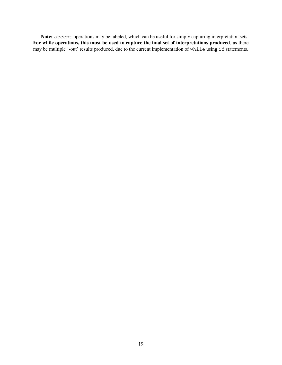Note: accept operations may be labeled, which can be useful for simply capturing interpretation sets. For while operations, this must be used to capture the final set of interpretations produced, as there may be multiple '-out' results produced, due to the current implementation of while using if statements.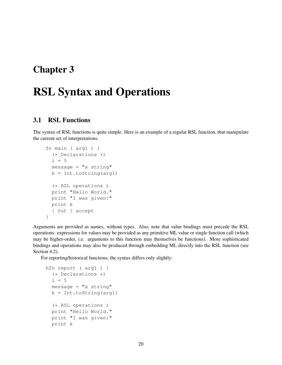## Chapter 3

# RSL Syntax and Operations

## 3.1 RSL Functions

The syntax of RSL functions is quite simple. Here is an example of a regular RSL function, that manipulate the current set of interpretations.

```
fn main ( arg1 ) {
  (* Declarations *)
  i=5message = "a string"
  k = Int.toString(arg1)(* RSL operations )
  print "Hello World."
 print "I was given:"
 print k
  [ Out ] accept
}
```
Arguments are provided as names, without types. Also, note that value bindings must precede the RSL operations: expressions for values may be provided as any primitive ML value or single function call (which may be higher-order, i.e. arguments to this function may themselves be functions). More sophisticated bindings and operations may also be produced through embedding ML directly into the RSL function (see Section 4.2).

For reporting/historical functions, the syntax differs only slightly:

```
hfn report ( arg1 ) {
  (* Declarations *)
  i=5message = "a string"
  k = Int.toString(arg1)(* RSL operations )
  print "Hello World."
 print "I was given:"
 print k
```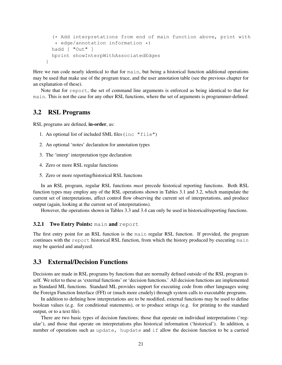```
(* Add interpretations from end of main function above, print with
  * edge/annotation information *)
 hadd [ "Out" ]
 hprint showInterpWithAssociatedEdges
}
```
Here we run code nearly identical to that for main, but being a historical function additional operations may be used that make use of the program trace, and the user annotation table (see the previous chapter for an explanation of these).

Note that for report, the set of command line arguments is enforced as being identical to that for main. This is not the case for any other RSL functions, where the set of arguments is programmer-defined.

#### 3.2 RSL Programs

RSL programs are defined, in-order, as:

- 1. An optional list of included SML files (inc "file")
- 2. An optional 'notes' declaration for annotation types
- 3. The 'interp' interpretation type declaration
- 4. Zero or more RSL regular functions
- 5. Zero or more reporting/historical RSL functions

In an RSL program, regular RSL functions *must* precede historical reporting functions. Both RSL function types may employ any of the RSL operations shown in Tables 3.1 and 3.2, which manipulate the current set of interpretations, affect control flow observing the current set of interpretations, and produce output (again, looking at the current set of interpretations).

However, the operations shown in Tables 3.3 and 3.4 can only be used in historical/reporting functions.

#### **3.2.1 Two Entry Points: main and report**

The first entry point for an RSL function is the main regular RSL function. If provided, the program continues with the report historical RSL function, from which the history produced by executing main may be queried and analyzed.

#### 3.3 External/Decision Functions

Decisions are made in RSL programs by functions that are normally defined outside of the RSL program itself. We refer to these as 'external functions' or 'decision functions.' All decision functions are implemented as Standard ML functions. Standard ML provides support for executing code from other languages using the Foreign Function Interface (FFI) or (much more crudely) through system calls to executable programs.

In addition to defining how interpretations are to be modified, external functions may be used to define boolean values (e.g. for conditional statements), or to produce strings (e.g. for printing to the standard output, or to a text file).

There are two basic types of decision functions; those that operate on individual interpretations ('regular'), and those that operate on interpretations plus historical information ('historical'). In addition, a number of operations such as update, hupdate and if allow the decision function to be a curried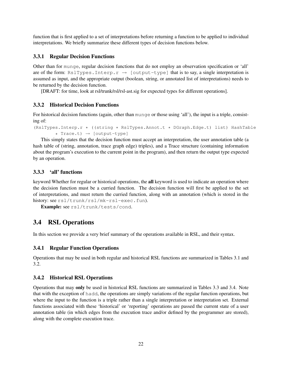function that is first applied to a set of interpretations before returning a function to be applied to individual interpretations. We briefly summarize these different types of decision functions below.

#### 3.3.1 Regular Decision Functions

Other than for munge, regular decision functions that do not employ an observation specification or 'all' are of the form: RslTypes.Interp.r  $\rightarrow$  [output-type] that is to say, a single interpretation is assumed as input, and the appropriate output (boolean, string, or annotated list of interpretations) needs to be returned by the decision function.

[DRAFT: for time, look at rsl/trunk/rsl/rsl-ast.sig for expected types for different operations].

#### 3.3.2 Historical Decision Functions

For historical decision functions (again, other than munge or those using 'all'), the input is a triple, consisting of:

```
(RslTypes.Interp.r * ((string * RslTypes.Annot.t * DGraph.Edge.t) list) HashTable
        * Trace.t) \rightarrow [output-type]
```
This simply states that the decision function must accept an interpretation, the user annotation table (a hash table of (string, annotation, trace graph edge) triples), and a Trace structure (containing information about the program's execution to the current point in the program), and then return the output type expected by an operation.

#### 3.3.3 'all' functions

keyword Whether for regular or historical operations, the all keyword is used to indicate an operation where the decision function must be a curried function. The decision function will first be applied to the set of interpretations, and must return the curried function, along with an annotation (which is stored in the history: see rsl/trunk/rsl/mk-rsl-exec.fun).

Example: see rsl/trunk/tests/cond.

### 3.4 RSL Operations

In this section we provide a very brief summary of the operations available in RSL, and their syntax.

#### 3.4.1 Regular Function Operations

Operations that may be used in both regular and historical RSL functions are summarized in Tables 3.1 and 3.2.

#### 3.4.2 Historical RSL Operations

Operations that may only be used in historical RSL functions are summarized in Tables 3.3 and 3.4. Note that with the exception of hadd, the operations are simply variations of the regular function operations, but where the input to the function is a triple rather than a single interpretation or interpretation set. External functions associated with these 'historical' or 'reporting' operations are passed the current state of a user annotation table (in which edges from the execution trace and/or defined by the programmer are stored), along with the complete execution trace.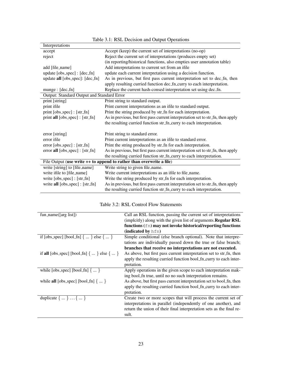| Interpretations                                                        |                                                                                 |  |  |
|------------------------------------------------------------------------|---------------------------------------------------------------------------------|--|--|
| accept                                                                 | Accept (keep) the current set of interpretations (no-op)                        |  |  |
| reject                                                                 | Reject the current set of interpretations (produces empty set)                  |  |  |
|                                                                        | (in reporting/historical functions, also empties user annotation table)         |  |  |
| add [file_name]                                                        | Add interpretations to current set from an ifile                                |  |  |
| update [obs_spec] : [dec_fn]                                           | update each current interpretation using a decision function.                   |  |  |
| update all [obs_spec]: [dec_fn]                                        | As in previous, but first pass current interpretation set to dec_fn, then       |  |  |
|                                                                        | apply resulting curried function dec_fn_curry to each interpretation.           |  |  |
| munge : [dec_fn]                                                       | Replace the current hash-consed interpretation set using dec_fn.                |  |  |
| Output: Standard Output and Standard Error                             |                                                                                 |  |  |
| print [string]                                                         | Print string to standard output.                                                |  |  |
| print ifile                                                            | Print current interpretations as an ifile to standard output.                   |  |  |
| print [obs_spec] : [str_fn]                                            | Print the string produced by str_fn for each interpretation.                    |  |  |
| print all [obs_spec] : [str_fn]                                        | As in previous, but first pass current interpretation set to str_fn, then apply |  |  |
|                                                                        | the resulting curried function str_fn_curry to each interpretation.             |  |  |
| error [string]                                                         | Print string to standard error.                                                 |  |  |
| error ifile                                                            | Print current interpretations as an ifile to standard error.                    |  |  |
| error [obs_spec] : [str_fn]                                            | Print the string produced by str_fn for each interpretation.                    |  |  |
| error all [obs_spec] : [str_fn]                                        | As in previous, but first pass current interpretation set to str_fn, then apply |  |  |
|                                                                        | the resulting curried function str_fn_curry to each interpretation.             |  |  |
| File Output (use write $++$ to append to rather than overwrite a file) |                                                                                 |  |  |
| write [string] to [file_name]                                          | Write string to given file_name.                                                |  |  |
| write ifile to [file_name]                                             | Write current interpretations as an ifile to file_name.                         |  |  |
| write [obs_spec] : [str_fn]                                            | Write the string produced by str_fn for each interpretation.                    |  |  |
| write all [obs_spec] : [str_fn]                                        | As in previous, but first pass current interpretation set to str_fn, then apply |  |  |
|                                                                        | the resulting curried function str_fn_curry to each interpretation.             |  |  |

| Table 3.2: RSL Control Flow Statements |  |  |
|----------------------------------------|--|--|
|----------------------------------------|--|--|

| fun_name([arg list])                                         | Call an RSL function, passing the current set of interpretations<br>(imploitly) along with the given list of arguments. <b>Regular RSL</b><br>functions (fn) may not invoke historical/reporting functions |
|--------------------------------------------------------------|------------------------------------------------------------------------------------------------------------------------------------------------------------------------------------------------------------|
|                                                              | (indicated by hfn)                                                                                                                                                                                         |
| if [obs_spec] [bool_fn] $\{ \dots \}$ else $\{ \dots \}$     | Simple conditional (else branch optional). Note that interpre-<br>tations are individually passed down the true or false branch;                                                                           |
|                                                              | branches that receive no interpretations are not executed.                                                                                                                                                 |
| if all [obs_spec] [bool_fn] $\{ \dots \}$ else $\{ \dots \}$ | As above, but first pass current interpretation set to str_fn, then                                                                                                                                        |
|                                                              | apply the resulting curried function bool_fn_curry to each inter-                                                                                                                                          |
|                                                              | pretation.                                                                                                                                                                                                 |
| while $[obs\_spec]$ $[bool\_fn]$ $\{ \dots \}$               | Apply operations in the given scope to each interpretation mak-                                                                                                                                            |
|                                                              | ing bool fn true, until no no such interpretation remains.                                                                                                                                                 |
| while <b>all</b> [obs_spec] [bool_fn] $\{ \dots \}$          | As above, but first pass current interpretation set to bool_fn, then                                                                                                                                       |
|                                                              | apply the resulting curried function bool_fn_curry to each inter-                                                                                                                                          |
|                                                              | pretation.                                                                                                                                                                                                 |
| duplicate $\{ \dots \} \dots \{ \dots \}$                    | Create two or more scopes that will process the current set of                                                                                                                                             |
|                                                              | interpretations in parallel (independently of one another), and                                                                                                                                            |
|                                                              | return the union of their final interpretation sets as the final re-                                                                                                                                       |
|                                                              | sult.                                                                                                                                                                                                      |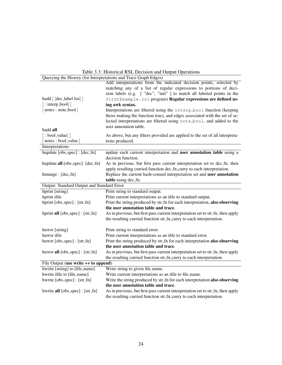| Querying the History (for Interpretations and Trace Graph Edges) |                                                                                                                                                    |  |  |
|------------------------------------------------------------------|----------------------------------------------------------------------------------------------------------------------------------------------------|--|--|
|                                                                  | Add interpretations from the indicated decision points, selected by                                                                                |  |  |
|                                                                  | matching any of a list of regular expressions to portions of deci-                                                                                 |  |  |
|                                                                  | sion labels (e.g. ["dec", "init"] to match all labeled points in the                                                                               |  |  |
| hadd [ [dec_label list] ]                                        | firstExample.rsl program) Regular expressions are defined us-                                                                                      |  |  |
| $\lceil$ : interp_bool $\rceil$                                  | ing awk syntax.                                                                                                                                    |  |  |
| [notes: note_bool]                                               | Interpretations are filtered using the interp_bool function (keeping                                                                               |  |  |
|                                                                  | those making the function true), and edges associated with the set of se-                                                                          |  |  |
|                                                                  | lected interpretations are filtered using note_bool, and added to the                                                                              |  |  |
| hadd all                                                         | user annotation table.                                                                                                                             |  |  |
| $\left[ \ \text{:bool-value} \right]$                            |                                                                                                                                                    |  |  |
| notes : bool_value                                               | As above, but any filters provided are applied to the set of all interpreta-                                                                       |  |  |
| Interpretations                                                  | tions produced.                                                                                                                                    |  |  |
|                                                                  |                                                                                                                                                    |  |  |
| hupdate [obs_spec] : [dec_fn]                                    | update each current interpretation and user annotation table using a<br>decision function.                                                         |  |  |
|                                                                  |                                                                                                                                                    |  |  |
| hupdate all [obs_spec]: [dec_fn]                                 | As in previous, but first pass current interpretation set to dec_fn, then<br>apply resulting curried function dec_fn_curry to each interpretation. |  |  |
|                                                                  |                                                                                                                                                    |  |  |
| hmunge : [dec_fn]                                                | Replace the current hash-consed interpretation set and user annotation                                                                             |  |  |
|                                                                  | table using dec_fn.                                                                                                                                |  |  |
| Output: Standard Output and Standard Error                       |                                                                                                                                                    |  |  |
| hprint [string]                                                  | Print string to standard output.                                                                                                                   |  |  |
| hprint ifile                                                     | Print current interpretations as an ifile to standard output.                                                                                      |  |  |
| hprint [obs_spec] : [str_fn]                                     | Print the string produced by str_fn for each interpretation, also observing                                                                        |  |  |
|                                                                  | the user annotation table and trace.                                                                                                               |  |  |
| hprint all [obs_spec] : [str_fn]                                 | As in previous, but first pass current interpretation set to str_fn, then apply                                                                    |  |  |
|                                                                  | the resulting curried function str_fn_curry to each interpretation.                                                                                |  |  |
| herror [string]                                                  | Print string to standard error.                                                                                                                    |  |  |
| herror ifile                                                     | Print current interpretations as an ifile to standard error.                                                                                       |  |  |
| herror [obs_spec] : [str_fn]                                     | Print the string produced by str_fn for each interpretation also observing                                                                         |  |  |
|                                                                  | the user annotation table and trace.                                                                                                               |  |  |
| herror all [obs_spec] : [str_fn]                                 | As in previous, but first pass current interpretation set to str_fn, then apply                                                                    |  |  |
|                                                                  | the resulting curried function str_fn_curry to each interpretation.                                                                                |  |  |
| File Output (use write ++ to append)                             |                                                                                                                                                    |  |  |
| hwrite [string] to [file_name]                                   | Write string to given file_name.                                                                                                                   |  |  |
| hwrite ifile to [file_name]                                      | Write current interpretations as an ifile to file_name.                                                                                            |  |  |
| hwrite [obs_spec] : [str_fn]                                     | Write the string produced by str_fn for each interpretation also observing                                                                         |  |  |
|                                                                  | the user annotation table and trace.                                                                                                               |  |  |
| hwrite all [obs_spec] : [str_fn]                                 | As in previous, but first pass current interpretation set to str_fn, then apply                                                                    |  |  |
|                                                                  | the resulting curried function str_fn_curry to each interpretation.                                                                                |  |  |
|                                                                  |                                                                                                                                                    |  |  |

Table 3.3: Historical RSL Decision and Output Operations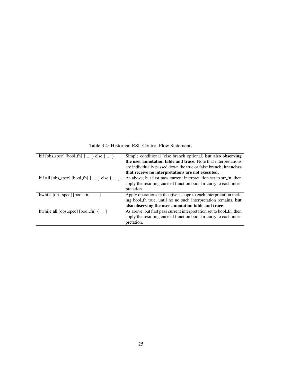Table 3.4: Historical RSL Control Flow Statements

| hif [obs_spec] [bool_fn] $\{ \dots \}$ else $\{ \dots \}$     | Simple conditional (else branch optional) but also observing         |
|---------------------------------------------------------------|----------------------------------------------------------------------|
|                                                               | the user annotation table and trace. Note that interpretations       |
|                                                               | are individually passed down the true or false branch; branches      |
|                                                               | that receive no interpretations are not executed.                    |
| hif all [obs_spec] [bool_fn] $\{ \dots \}$ else $\{ \dots \}$ | As above, but first pass current interpretation set to str_fn, then  |
|                                                               | apply the resulting curried function bool_fn_curry to each inter-    |
|                                                               | pretation.                                                           |
| hwhile [obs_spec] [bool_fn] $\{ \dots \}$                     | Apply operations in the given scope to each interpretation mak-      |
|                                                               | ing bool_fn true, until no no such interpretation remains, but       |
|                                                               | also observing the user annotation table and trace                   |
| hwhile <b>all</b> [obs_spec] [bool_fn] $\{ \dots \}$          | As above, but first pass current interpretation set to bool_fn, then |
|                                                               | apply the resulting curried function bool fn curry to each inter-    |
|                                                               | pretation.                                                           |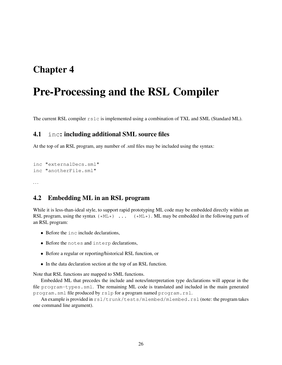## Chapter 4

# Pre-Processing and the RSL Compiler

The current RSL compiler rslc is implemented using a combination of TXL and SML (Standard ML).

### 4.1 inc: including additional SML source files

At the top of an RSL program, any number of .sml files may be included using the syntax:

```
inc "externalDecs.sml"
inc "anotherFile.sml"
```
...

## 4.2 Embedding ML in an RSL program

While it is less-than-ideal style, to support rapid prototyping ML code may be embedded directly within an RSL program, using the syntax  $(*ML*)$ ...  $(*ML*)$ . ML may be embedded in the following parts of an RSL program:

- Before the inc include declarations,
- *•* Before the notes and interp declarations,
- *•* Before a regular or reporting/historical RSL function, or
- *•* In the data declaration section at the top of an RSL function.

Note that RSL functions are mapped to SML functions.

Embedded ML that precedes the include and notes/interpretation type declarations will appear in the file program-types.sml. The remaining ML code is translated and included in the main generated program.sml file produced by rslp for a program named program.rsl.

An example is provided in  $rsl/trunk/tests/mlembed/mlembed.rsl (note: the program takes$ one command line argument).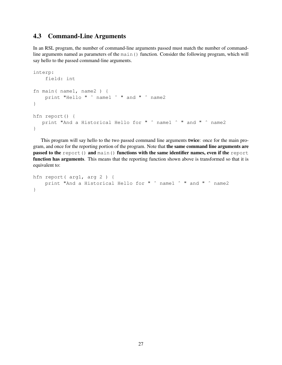## 4.3 Command-Line Arguments

In an RSL program, the number of command-line arguments passed must match the number of commandline arguments named as parameters of the main() function. Consider the following program, which will say hello to the passed command-line arguments.

```
interp:
    field: int
fn main( name1, name2 ) {
    print "Hello " ^ name1 ^ " and " ^ name2
}
hfn report() {
  print "And a Historical Hello for " ˆ name1 ˆ " and " ˆ name2
}
```
This program will say hello to the two passed command line arguments twice: once for the main program, and once for the reporting portion of the program. Note that the same command line arguments are passed to the report() and main() functions with the same identifier names, even if the report function has arguments. This means that the reporting function shown above is transformed so that it is equivalent to:

```
hfn report( arg1, arg 2 ) {
    print "And a Historical Hello for " \hat{ } name1 \hat{ } " and " \hat{ } name2
}
```